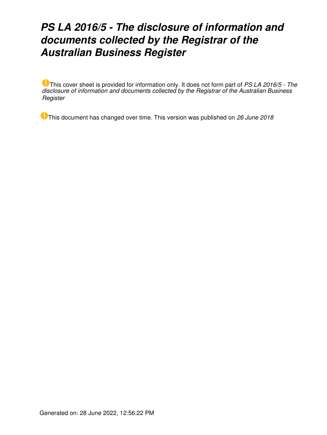# *PS LA 2016/5 - The disclosure of information and documents collected by the Registrar of the Australian Business Register*

This cover sheet is provided for information only. It does not form part of *PS LA 2016/5 - The disclosure of information and documents collected by the Registrar of the Australian Business Register*

This document has changed over time. This version was published on *26 June 2018*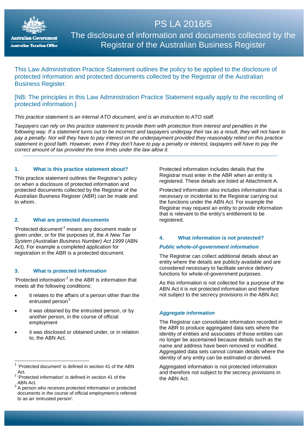

# The disclosure of information and documents collected by the Registrar of the Australian Business Register

PS LA 2016/5

This Law Administration Practice Statement outlines the policy to be applied to the disclosure of protected information and protected documents collected by the Registrar of the Australian Business Register.

## [NB: The principles in this Law Administration Practice Statement equally apply to the recording of protected information.]

## *This practice statement is an internal ATO document, and is an instruction to ATO staff.*

*Taxpayers can rely on this practice statement to provide them with protection from interest and penalties in the following way. If a statement turns out to be incorrect and taxpayers underpay their tax as a result, they will not have to pay a penalty. Nor will they have to pay interest on the underpayment provided they reasonably relied on this practice statement in good faith. However, even if they don't have to pay a penalty or interest, taxpayers will have to pay the correct amount of tax provided the time limits under the law allow it.*

#### **1. What is this practice statement about?**

This practice statement outlines the Registrar's policy on when a disclosure of protected information and protected documents collected by the Registrar of the Australian Business Register (ABR) can be made and to whom.

## **2. What are protected documents**

'Protected document'[1](#page-1-0) means any document made or given under, or for the purposes of, the *A New Tax System (Australian Business Number) Act 1999* (ABN Act). For example a completed application for registration in the ABR is a protected document.

#### **3. What is protected information**

'Protected information'[2](#page-1-1) in the ABR is information that meets all the following conditions:

- it relates to the affairs of a person other than the entrusted person<sup>[3](#page-1-2)</sup>
- it was obtained by the entrusted person, or by another person, in the course of official employment
- it was disclosed or obtained under, or in relation to, the ABN Act.

 $\overline{\phantom{a}}$ 

Protected information includes details that the Registrar must enter in the ABR when an entity is registered. These details are listed at Attachment A.

Protected information also includes information that is necessary or incidental to the Registrar carrying out the functions under the ABN Act. For example the Registrar may request an entity to provide information that is relevant to the entity's entitlement to be registered.

#### **4. What information is not protected?**

## *Public whole-of-government information*

The Registrar can collect additional details about an entity where the details are publicly available and are considered necessary to facilitate service delivery functions for whole-of-government purposes.

As this information is not collected for a purpose of the ABN Act it is not protected information and therefore not subject to the secrecy provisions in the ABN Act.

#### *Aggregate information*

The Registrar can consolidate information recorded in the ABR to produce aggregated data sets where the identity of entities and associates of those entities can no longer be ascertained because details such as the name and address have been removed or modified. Aggregated data sets cannot contain details where the identity of any entity can be estimated or derived.

Aggregated information is not protected information and therefore not subject to the secrecy provisions in the ABN Act.

<span id="page-1-0"></span> $1$  'Protected document' is defined in section 41 of the ABN  $\Delta$ ct

<span id="page-1-1"></span><sup>2</sup> 'Protected information' is defined in section 41 of the ABN Act.

<span id="page-1-2"></span><sup>&</sup>lt;sup>3</sup> A person who receives protected information or protected documents in the course of official employment is referred to as an 'entrusted person'.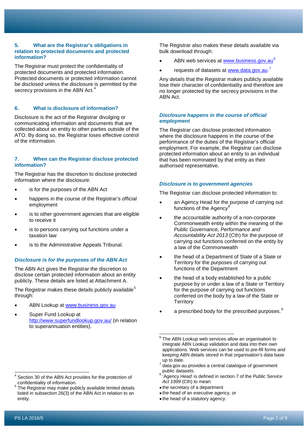#### **5. What are the Registrar's obligations in relation to protected documents and protected information?**

The Registrar must protect the confidentiality of protected documents and protected information. Protected documents or protected information cannot be disclosed unless the disclosure is permitted by the secrecy provisions in the ABN Act.<sup>[4](#page-2-0)</sup>

## **6. What is disclosure of information?**

Disclosure is the act of the Registrar divulging or communicating information and documents that are collected about an entity to other parties outside of the ATO. By doing so, the Registrar loses effective control of the information.

#### **7. When can the Registrar disclose protected information?**

The Registrar has the discretion to disclose protected information where the disclosure:

- is for the purposes of the ABN Act
- happens in the course of the Registrar's official employment
- is to other government agencies that are eligible to receive it
- is to persons carrying out functions under a taxation law
- is to the Administrative Appeals Tribunal.

#### *Disclosure is for the purposes of the ABN Act*

The ABN Act gives the Registrar the discretion to disclose certain protected information about an entity publicly. These details are listed at Attachment A.

The Registrar makes these details publicly available<sup>[5](#page-2-1)</sup> through:

- ABN Lookup at [www.business.gov.au](http://www.business.gov.au/)
- <span id="page-2-2"></span>• Super Fund Lookup at <http://www.superfundlookup.gov.au/> (in relation to superannuation entities).

<span id="page-2-1"></span><sup>5</sup> The Registrar may make publicly available limited details listed in subsection 26(3) of the ABN Act in relation to an entity.

The Registrar also makes these details available via bulk download through:

- ABN web services at [www.business.gov.au](http://www.business.gov.au/)<sup>[6](#page-2-2)</sup>
- requests of datasets at [www.data.gov.au.](http://www.data.gov.au/)<sup>[7](#page-2-3)</sup>

Any details that the Registrar makes publicly available lose their character of confidentiality and therefore are no longer protected by the secrecy provisions in the ABN Act.

#### *Disclosure happens in the course of official employment*

The Registrar can disclose protected information where the disclosure happens in the course of the performance of the duties of the Registrar's official employment. For example, the Registrar can disclose protected information about an entity to an individual that has been nominated by that entity as their authorised representative.

#### *Disclosure is to government agencies*

The Registrar can disclose protected information to:

- an Agency Head for the purpose of carrying out functions of the Agency<sup>®</sup>
- the accountable authority of a non-corporate Commonwealth entity within the meaning of the *Public Governance, Performance and Accountability Act 2013* (Cth) for the purpose of carrying out functions conferred on the entity by a law of the Commonwealth
- the head of a Department of State of a State or Territory for the purposes of carrying out functions of the Department
- the head of a body established for a public purpose by or under a law of a State or Territory for the purpose of carrying out functions conferred on the body by a law of the State or **Territory**
- a prescribed body for the prescribed purposes. $^{\circ}$

- the secretary of a department
- the head of an executive agency, or
- the head of a statutory agency.

<span id="page-2-5"></span><span id="page-2-4"></span><span id="page-2-3"></span><span id="page-2-0"></span><sup>&</sup>lt;sup>4</sup> Section 30 of the ABN Act provides for the protection of confidentiality of information.  $\overline{\phantom{a}}$ 

 $6$  The ABN Lookup web services allow an organisation to integrate ABN Lookup validation and data into their own applications. Web services can be used to pre-fill forms and keeping ABN details stored in that organisation's data base up to date.  $\overline{a}$ 

<sup>%</sup> data.gov.au provides a central catalogue of government<br>public datasets.

<sup>&</sup>lt;sup>'</sup>Agency Head' is defined in section 7 of the *Public Service Act 1999* (Cth) to mean: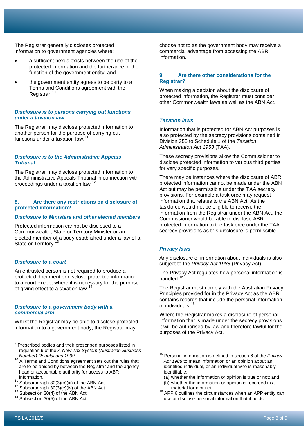The Registrar generally discloses protected information to government agencies where:

- a sufficient nexus exists between the use of the protected information and the furtherance of the function of the government entity, and
- the government entity agrees to be party to a Terms and Conditions agreement with the Registrar.<sup>[10](#page-3-0)</sup>

#### *Disclosure is to persons carrying out functions under a taxation law*

The Registrar may disclose protected information to another person for the purpose of carrying out functions under a taxation law.<sup>1</sup>

#### *Disclosure is to the Administrative Appeals Tribunal*

The Registrar may disclose protected information to the Administrative Appeals Tribunal in connection with proceedings under a taxation law.[12](#page-3-2)

#### **8. Are there any restrictions on disclosure of protected information?**

#### *Disclosure to Ministers and other elected members*

Protected information cannot be disclosed to a Commonwealth, State or Territory Minister or an elected member of a body established under a law of a State or Territory.<sup>[13](#page-3-3)</sup>

#### *Disclosure to a court*

An entrusted person is not required to produce a protected document or disclose protected information to a court except where it is necessary for the purpose of giving effect to a taxation law.

#### *Disclosure to a government body with a commercial arm*

Whilst the Registrar may be able to disclose protected information to a government body, the Registrar may

- $9$  Prescribed bodies and their prescribed purposes listed in regulation 9 of the *A New Tax System (Australian Business*
- <span id="page-3-5"></span><span id="page-3-0"></span><sup>10</sup> A Terms and Conditions agreement sets out the rules that are to be abided by between the Registrar and the agency head or accountable authority for access to ABR
- 
- <span id="page-3-2"></span><span id="page-3-1"></span><sup>11</sup> Subparagraph 30(3)(c)(iii) of the ABN Act. <sup>12</sup> Subparagraph 30(3)(c)(iv) of the ABN Act. <sup>13</sup> Subsection 30(4) of the ABN Act. <sup>14</sup> Subsection 30(5) of the ABN Act.
- <span id="page-3-3"></span>
- <span id="page-3-4"></span>

choose not to as the government body may receive a commercial advantage from accessing the ABR information.

## **9. Are there other considerations for the Registrar?**

When making a decision about the disclosure of protected information, the Registrar must consider other Commonwealth laws as well as the ABN Act.

#### *Taxation laws*

Information that is protected for ABN Act purposes is also protected by the secrecy provisions contained in Division 355 to Schedule 1 of the *Taxation Administration Act 1953* (TAA).

These secrecy provisions allow the Commissioner to disclose protected information to various third parties for very specific purposes.

There may be instances where the disclosure of ABR protected information cannot be made under the ABN Act but may be permissible under the TAA secrecy provisions. For example a taskforce may request information that relates to the ABN Act. As the taskforce would not be eligible to receive the information from the Registrar under the ABN Act, the Commissioner would be able to disclose ABR protected information to the taskforce under the TAA secrecy provisions as this disclosure is permissible.

#### *Privacy laws*

 $\overline{a}$ 

Any disclosure of information about individuals is also subject to the *Privacy Act 1988* (Privacy Act).

The Privacy Act regulates how personal information is handled.<sup>[15](#page-3-5)</sup>

The Registrar must comply with the Australian Privacy Principles provided for in the Privacy Act as the ABR contains records that include the personal information of individuals.<sup>1</sup>

Where the Registrar makes a disclosure of personal information that is made under the secrecy provisions it will be authorised by law and therefore lawful for the purposes of the Privacy Act.

(a) whether the information or opinion is true or not; and

j

<sup>15</sup> Personal information is defined in section 6 of the *Privacy Act 1988* to mean information or an opinion about an identified individual, or an individual who is reasonably identifiable:

<sup>(</sup>b) whether the information or opinion is recorded in a material form or not.

<sup>&</sup>lt;sup>16</sup> APP 6 outlines the circumstances when an APP entity can use or disclose personal information that it holds.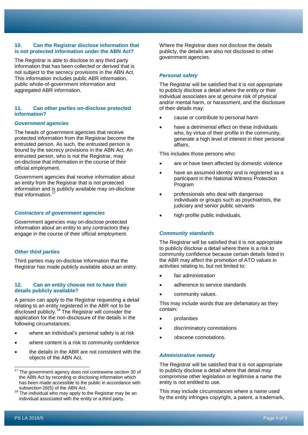#### **10. Can the Registrar disclose information that is not protected information under the ABN Act?**

The Registrar is able to disclose to any third party information that has been collected or derived that is not subject to the secrecy provisions in the ABN Act. This information includes public ABR information, public whole-of-government information and aggregated ABR information.

## **11. Can other parties on-disclose protected information?**

#### *Government agencies*

The heads of government agencies that receive protected information from the Registrar become the entrusted person. As such, the entrusted person is bound by the secrecy provisions in the ABN Act. An entrusted person, who is not the Registrar, may on-disclose that information in the course of their official employment.

Government agencies that receive information about an entity from the Registrar that is not protected information and is publicly available may on-disclose that information $1$ 

#### *Contractors of government agencies*

Government agencies may on-disclose protected information about an entity to any contractors they engage in the course of their official employment.

#### *Other third parties*

Third parties may on-disclose information that the Registrar has made publicly available about an entity.

#### **12. Can an entity choose not to have their details publicly available?**

A person can apply to the Registrar requesting a detail relating to an entity registered in the ABR not to be disclosed publicly.<sup>[18](#page-4-1)</sup> The Registrar will consider the application for the non-disclosure of the details in the following circumstances:

- where an individual's personal safety is at risk
- where content is a risk to community confidence
- the details in the ABR are not consistent with the objects of the ABN Act.

Where the Registrar does not disclose the details publicly, the details are also not disclosed to other government agencies.

#### *Personal safety*

The Registrar will be satisfied that it is not appropriate to publicly disclose a detail where the entity or their individual associates are at genuine risk of physical and/or mental harm, or harassment, and the disclosure of their details may:

- cause or contribute to personal harm
- have a detrimental effect on these individuals who, by virtue of their profile in the community, generate a high level of interest in their personal affairs.

This includes those persons who:

- are or have been affected by domestic violence
- have an assumed identity and is registered as a participant in the National Witness Protection Program
- professionals who deal with dangerous individuals or groups such as psychiatrists, the judiciary and senior public servants
- high profile public individuals.

#### *Community standards*

The Registrar will be satisfied that it is not appropriate to publicly disclose a detail where there is a risk to community confidence because certain details listed in the ABR may affect the promotion of ATO values in activities relating to, but not limited to:

- fair administration
- adherence to service standards
- community values.

This may include words that are defamatory as they contain:

- **profanities**
- discriminatory connotations
- obscene connotations.

#### *Administrative remedy*

The Registrar will be satisfied that it is not appropriate to publicly disclose a detail where that detail may compromise other legislation or legitimise a name the entity is not entitled to use.

This may include circumstances where a name used by the entity infringes copyright, a patent, a trademark,

<span id="page-4-0"></span>The government agency does not contravene section 30 of the ABN Act by recording or disclosing information which has been made accessible to the public in accordance with subsection 26(5) of the ABN Act.  $17$ 

<span id="page-4-1"></span> $18$  The individual who may apply to the Registrar may be an individual associated with the entity or a third party.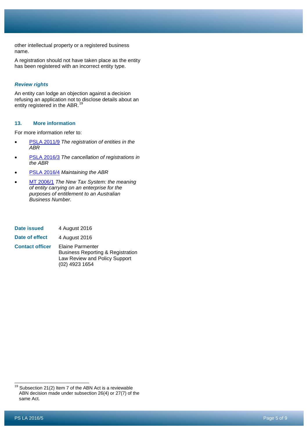other intellectual property or a registered business name.

A registration should not have taken place as the entity has been registered with an incorrect entity type.

## *Review rights*

An entity can lodge an objection against a decision refusing an application not to disclose details about an entity registered in the ABR.<sup>[19](#page-5-0)</sup>

## **13. More information**

For more information refer to:

- [PSLA 2011/9](https://www.ato.gov.au/law/view/document?DocID=PSR/PS20119/NAT/ATO/00001) *The registration of entities in the ABR*
- [PSLA 2016/3](https://www.ato.gov.au/law/view/document?DocID=PSR/PS20163/NAT/ATO/00001) *The cancellation of registrations in the ABR*
- [PSLA 2016/4](https://www.ato.gov.au/law/view/document?DocID=PSR/PS20164/NAT/ATO/00001) *Maintaining the ABR*
- [MT 2006/1](https://www.ato.gov.au/law/view/document?DocID=MXR/MT20061/NAT/ATO/00001) *The New Tax System: the meaning of entity carrying on an enterprise for the purposes of entitlement to an Australian Business Number.*
- **Date issued** 4 August 2016

**Date of effect** 4 August 2016

**Contact officer** Elaine Parmenter Business Reporting & Registration Law Review and Policy Support (02) 4923 1654

<span id="page-5-0"></span> $19$  Subsection 21(2) Item 7 of the ABN Act is a reviewable ABN decision made under subsection 26(4) or 27(7) of the same Act. j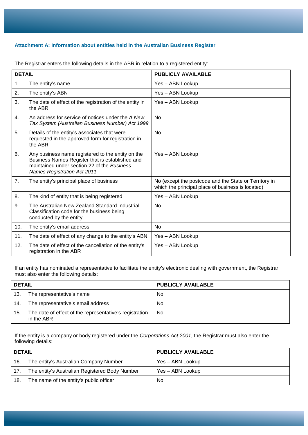## **Attachment A: Information about entities held in the Australian Business Register**

| <b>DETAIL</b>  |                                                                                                                                                                                           | <b>PUBLICLY AVAILABLE</b>                                                                                  |
|----------------|-------------------------------------------------------------------------------------------------------------------------------------------------------------------------------------------|------------------------------------------------------------------------------------------------------------|
| 1.             | The entity's name                                                                                                                                                                         | Yes - ABN Lookup                                                                                           |
| 2.             | The entity's ABN                                                                                                                                                                          | Yes - ABN Lookup                                                                                           |
| 3.             | The date of effect of the registration of the entity in<br>the ABR                                                                                                                        | Yes - ABN Lookup                                                                                           |
| $\mathbf{4}$ . | An address for service of notices under the A New<br>Tax System (Australian Business Number) Act 1999                                                                                     | N <sub>0</sub>                                                                                             |
| 5.             | Details of the entity's associates that were<br>requested in the approved form for registration in<br>the ABR                                                                             | <b>No</b>                                                                                                  |
| 6.             | Any business name registered to the entity on the<br>Business Names Register that is established and<br>maintained under section 22 of the Business<br><b>Names Registration Act 2011</b> | Yes - ABN Lookup                                                                                           |
| 7.             | The entity's principal place of business                                                                                                                                                  | No (except the postcode and the State or Territory in<br>which the principal place of business is located) |
| 8.             | The kind of entity that is being registered                                                                                                                                               | Yes - ABN Lookup                                                                                           |
| 9.             | The Australian New Zealand Standard Industrial<br>Classification code for the business being<br>conducted by the entity                                                                   | <b>No</b>                                                                                                  |
| 10.            | The entity's email address                                                                                                                                                                | <b>No</b>                                                                                                  |
| 11.            | The date of effect of any change to the entity's ABN                                                                                                                                      | Yes - ABN Lookup                                                                                           |
| 12.            | The date of effect of the cancellation of the entity's<br>registration in the ABR                                                                                                         | Yes - ABN Lookup                                                                                           |

The Registrar enters the following details in the ABR in relation to a registered entity:

If an entity has nominated a representative to facilitate the entity's electronic dealing with government, the Registrar must also enter the following details:

| <b>DETAIL</b> |                                                                       | <b>PUBLICLY AVAILABLE</b> |
|---------------|-----------------------------------------------------------------------|---------------------------|
| 13.           | The representative's name                                             | No                        |
| 14.           | The representative's email address                                    | No                        |
| 15.           | The date of effect of the representative's registration<br>in the ABR | No.                       |

If the entity is a company or body registered under the *Corporations Act 2001*, the Registrar must also enter the following details:

| <b>DETAIL</b> |                                                | <b>PUBLICLY AVAILABLE</b> |
|---------------|------------------------------------------------|---------------------------|
| 16.           | The entity's Australian Company Number         | Yes – ABN Lookup          |
| 17.           | The entity's Australian Registered Body Number | Yes – ABN Lookup          |
| 18.           | The name of the entity's public officer        | No                        |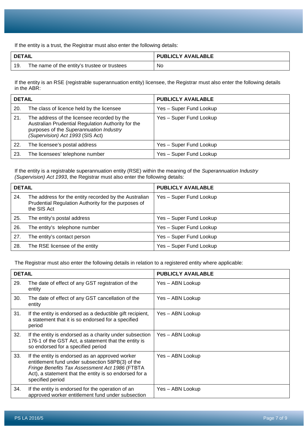If the entity is a trust, the Registrar must also enter the following details:

| <b>DETAIL</b> |                                              | <b>PUBLICLY AVAILABLE</b> |
|---------------|----------------------------------------------|---------------------------|
| -19.          | The name of the entity's trustee or trustees | No.                       |

If the entity is an RSE (registrable superannuation entity) licensee, the Registrar must also enter the following details in the ABR:

| <b>DETAIL</b> |                                                                                                                                                                                  | <b>PUBLICLY AVAILABLE</b> |
|---------------|----------------------------------------------------------------------------------------------------------------------------------------------------------------------------------|---------------------------|
| 20.           | The class of licence held by the licensee                                                                                                                                        | Yes - Super Fund Lookup   |
| 21.           | The address of the licensee recorded by the<br>Australian Prudential Regulation Authority for the<br>purposes of the Superannuation Industry<br>(Supervision) Act 1993 (SIS Act) | Yes - Super Fund Lookup   |
| 22.           | The licensee's postal address                                                                                                                                                    | Yes - Super Fund Lookup   |
| 23.           | The licensees' telephone number                                                                                                                                                  | Yes - Super Fund Lookup   |

If the entity is a registrable superannuation entity (RSE) within the meaning of the *Superannuation Industry (Supervision) Act 1993*, the Registrar must also enter the following details:

| <b>DETAIL</b> |                                                                                                                             | PUBLICLY AVAILABLE      |
|---------------|-----------------------------------------------------------------------------------------------------------------------------|-------------------------|
| 24.           | The address for the entity recorded by the Australian<br>Prudential Regulation Authority for the purposes of<br>the SIS Act | Yes - Super Fund Lookup |
| 25.           | The entity's postal address                                                                                                 | Yes - Super Fund Lookup |
| 26.           | The entity's telephone number                                                                                               | Yes - Super Fund Lookup |
| 27.           | The entity's contact person                                                                                                 | Yes - Super Fund Lookup |
| 28.           | The RSE licensee of the entity                                                                                              | Yes - Super Fund Lookup |

The Registrar must also enter the following details in relation to a registered entity where applicable:

| <b>DETAIL</b> |                                                                                                                                                                                                                                     | <b>PUBLICLY AVAILABLE</b> |
|---------------|-------------------------------------------------------------------------------------------------------------------------------------------------------------------------------------------------------------------------------------|---------------------------|
| 29.           | The date of effect of any GST registration of the<br>entity                                                                                                                                                                         | Yes - ABN Lookup          |
| 30.           | The date of effect of any GST cancellation of the<br>entity                                                                                                                                                                         | Yes – ABN Lookup          |
| 31.           | If the entity is endorsed as a deductible gift recipient,<br>a statement that it is so endorsed for a specified<br>period                                                                                                           | Yes - ABN Lookup          |
| 32.           | If the entity is endorsed as a charity under subsection<br>176-1 of the GST Act, a statement that the entity is<br>so endorsed for a specified period                                                                               | Yes - ABN Lookup          |
| 33.           | If the entity is endorsed as an approved worker<br>entitlement fund under subsection 58PB(3) of the<br>Fringe Benefits Tax Assessment Act 1986 (FTBTA<br>Act), a statement that the entity is so endorsed for a<br>specified period | Yes - ABN Lookup          |
| 34.           | If the entity is endorsed for the operation of an<br>approved worker entitlement fund under subsection                                                                                                                              | Yes – ABN Lookup          |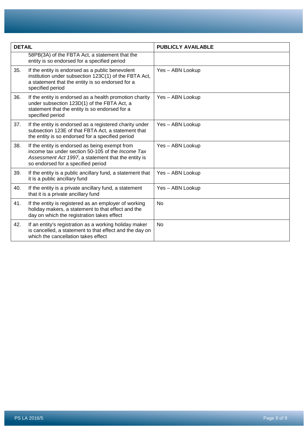| <b>DETAIL</b> |                                                                                                                                                                                                         | <b>PUBLICLY AVAILABLE</b> |
|---------------|---------------------------------------------------------------------------------------------------------------------------------------------------------------------------------------------------------|---------------------------|
|               | 58PB(3A) of the FBTA Act, a statement that the<br>entity is so endorsed for a specified period                                                                                                          |                           |
| 35.           | If the entity is endorsed as a public benevolent<br>institution under subsection 123C(1) of the FBTA Act,<br>a statement that the entity is so endorsed for a<br>specified period                       | Yes - ABN Lookup          |
| 36.           | If the entity is endorsed as a health promotion charity<br>under subsection 123D(1) of the FBTA Act, a<br>statement that the entity is so endorsed for a<br>specified period                            | Yes - ABN Lookup          |
| 37.           | If the entity is endorsed as a registered charity under<br>subsection 123E of that FBTA Act, a statement that<br>the entity is so endorsed for a specified period                                       | Yes - ABN Lookup          |
| 38.           | If the entity is endorsed as being exempt from<br>income tax under section 50-105 of the <i>Income Tax</i><br>Assessment Act 1997, a statement that the entity is<br>so endorsed for a specified period | Yes - ABN Lookup          |
| 39.           | If the entity is a public ancillary fund, a statement that<br>it is a public ancillary fund                                                                                                             | Yes - ABN Lookup          |
| 40.           | If the entity is a private ancillary fund, a statement<br>that it is a private ancillary fund                                                                                                           | Yes - ABN Lookup          |
| 41.           | If the entity is registered as an employer of working<br>holiday makers, a statement to that effect and the<br>day on which the registration takes effect                                               | <b>No</b>                 |
| 42.           | If an entity's registration as a working holiday maker<br>is cancelled, a statement to that effect and the day on<br>which the cancellation takes effect                                                | <b>No</b>                 |